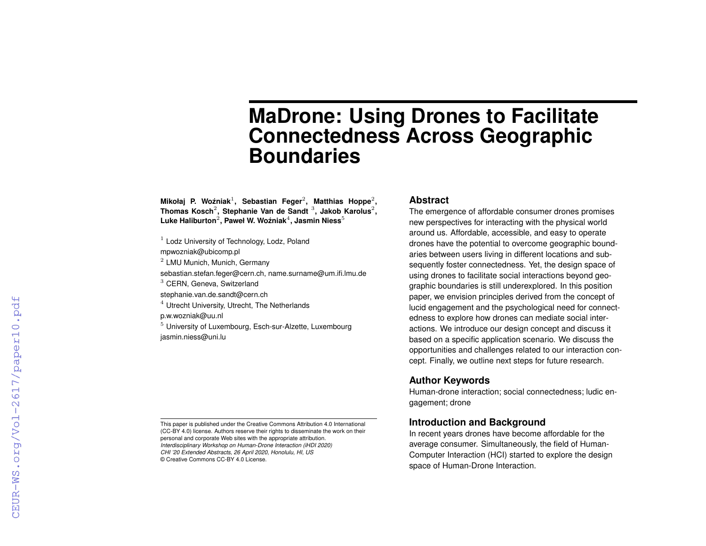# **MaDrone: Using Drones to Facilitate Connectedness Across Geographic Boundaries**

Mikołaj P. Woźniak<sup>1</sup>, Sebastian Feger<sup>2</sup>, Matthias Hoppe<sup>2</sup>, **Thomas Kosch**<sup>2</sup> **, Stephanie Van de Sandt** <sup>3</sup> **, Jakob Karolus**<sup>2</sup> **,**  $\mathsf{Luke\ Haliburton}^2$ , Paweł W. Woźniak $^4$ , Jasmin Niess $^5$ 

- $1$  Lodz University of Technology, Lodz, Poland
- mpwozniak@ubicomp.pl
- $<sup>2</sup>$  LMU Munich, Munich, Germany</sup>

sebastian.stefan.feger@cern.ch, name.surname@um.ifi.lmu.de

<sup>3</sup> CERN, Geneva, Switzerland

stephanie.van.de.sandt@cern.ch

© Creative Commons CC-BY 4.0 License.

<sup>4</sup> Utrecht University, Utrecht, The Netherlands

p.w.wozniak@uu.nl

<sup>5</sup> University of Luxembourg, Esch-sur-Alzette, Luxembourg jasmin.niess@uni.lu

This paper is published under the Creative Commons Attribution 4.0 International (CC-BY 4.0) license. Authors reserve their rights to disseminate the work on their

personal and corporate Web sites with the appropriate attribution. *Interdisciplinary Workshop on Human-Drone Interaction (iHDI 2020) CHI '20 Extended Abstracts, 26 April 2020, Honolulu, HI, US*

**Abstract**

The emergence of affordable consumer drones promises new perspectives for interacting with the physical world around us. Affordable, accessible, and easy to operate drones have the potential to overcome geographic boundaries between users living in different locations and subsequently foster connectedness. Yet, the design space of using drones to facilitate social interactions beyond geographic boundaries is still underexplored. In this position paper, we envision principles derived from the concept of lucid engagement and the psychological need for connectedness to explore how drones can mediate social interactions. We introduce our design concept and discuss it based on a specific application scenario. We discuss the opportunities and challenges related to our interaction concept. Finally, we outline next steps for future research.

### **Author Keywords**

Human-drone interaction; social connectedness; ludic engagement; drone

# **Introduction and Background**

In recent years drones have become affordable for the average consumer. Simultaneously, the field of Human-Computer Interaction (HCI) started to explore the design space of Human-Drone Interaction.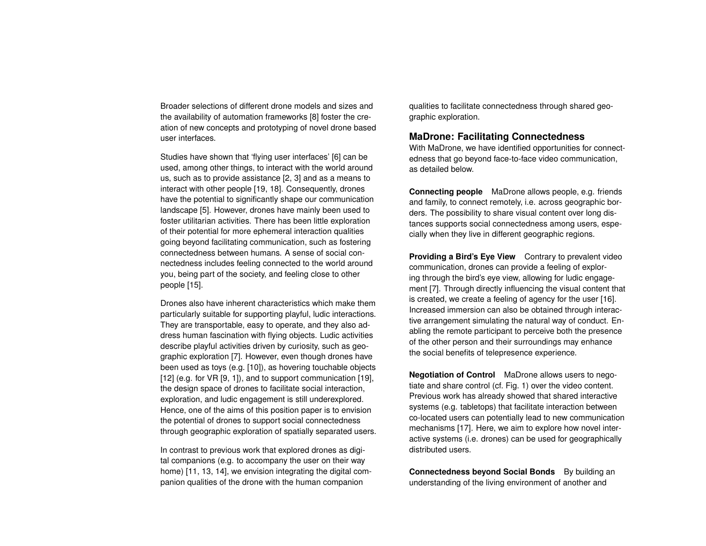Broader selections of different drone models and sizes and the availability of automation frameworks [\[8\]](#page-4-0) foster the creation of new concepts and prototyping of novel drone based user interfaces.

Studies have shown that 'flying user interfaces' [\[6\]](#page-4-1) can be used, among other things, to interact with the world around us, such as to provide assistance [\[2,](#page-4-2) [3\]](#page-4-3) and as a means to interact with other people [\[19,](#page-5-0) [18\]](#page-5-1). Consequently, drones have the potential to significantly shape our communication landscape [\[5\]](#page-4-4). However, drones have mainly been used to foster utilitarian activities. There has been little exploration of their potential for more ephemeral interaction qualities going beyond facilitating communication, such as fostering connectedness between humans. A sense of social connectedness includes feeling connected to the world around you, being part of the society, and feeling close to other people [\[15\]](#page-5-2).

Drones also have inherent characteristics which make them particularly suitable for supporting playful, ludic interactions. They are transportable, easy to operate, and they also address human fascination with flying objects. Ludic activities describe playful activities driven by curiosity, such as geographic exploration [\[7\]](#page-4-5). However, even though drones have been used as toys (e.g. [\[10\]](#page-4-6)), as hovering touchable objects [\[12\]](#page-5-3) (e.g. for VR [\[9,](#page-4-7) [1\]](#page-4-8)), and to support communication [\[19\]](#page-5-0), the design space of drones to facilitate social interaction, exploration, and ludic engagement is still underexplored. Hence, one of the aims of this position paper is to envision the potential of drones to support social connectedness through geographic exploration of spatially separated users.

In contrast to previous work that explored drones as digital companions (e.g. to accompany the user on their way home) [\[11,](#page-5-4) [13,](#page-5-5) [14\]](#page-5-6), we envision integrating the digital companion qualities of the drone with the human companion

qualities to facilitate connectedness through shared geographic exploration.

## **MaDrone: Facilitating Connectedness**

With MaDrone, we have identified opportunities for connectedness that go beyond face-to-face video communication, as detailed below.

**Connecting people** MaDrone allows people, e.g. friends and family, to connect remotely, i.e. across geographic borders. The possibility to share visual content over long distances supports social connectedness among users, especially when they live in different geographic regions.

**Providing a Bird's Eye View** Contrary to prevalent video communication, drones can provide a feeling of exploring through the bird's eye view, allowing for ludic engagement [\[7\]](#page-4-5). Through directly influencing the visual content that is created, we create a feeling of agency for the user [\[16\]](#page-5-7). Increased immersion can also be obtained through interactive arrangement simulating the natural way of conduct. Enabling the remote participant to perceive both the presence of the other person and their surroundings may enhance the social benefits of telepresence experience.

**Negotiation of Control** MaDrone allows users to negotiate and share control (cf. Fig. [1\)](#page-3-0) over the video content. Previous work has already showed that shared interactive systems (e.g. tabletops) that facilitate interaction between co-located users can potentially lead to new communication mechanisms [\[17\]](#page-5-8). Here, we aim to explore how novel interactive systems (i.e. drones) can be used for geographically distributed users.

**Connectedness beyond Social Bonds** By building an understanding of the living environment of another and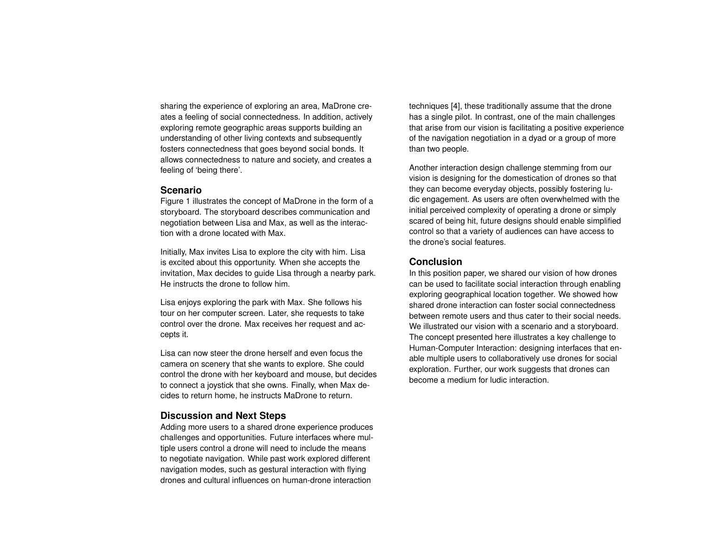sharing the experience of exploring an area, MaDrone creates a feeling of social connectedness. In addition, actively exploring remote geographic areas supports building an understanding of other living contexts and subsequently fosters connectedness that goes beyond social bonds. It allows connectedness to nature and society, and creates a feeling of 'being there'.

#### **Scenario**

Figure [1](#page-3-0) illustrates the concept of MaDrone in the form of a storyboard. The storyboard describes communication and negotiation between Lisa and Max, as well as the interaction with a drone located with Max.

Initially, Max invites Lisa to explore the city with him. Lisa is excited about this opportunity. When she accepts the invitation, Max decides to guide Lisa through a nearby park. He instructs the drone to follow him.

Lisa enjoys exploring the park with Max. She follows his tour on her computer screen. Later, she requests to take control over the drone. Max receives her request and accepts it.

Lisa can now steer the drone herself and even focus the camera on scenery that she wants to explore. She could control the drone with her keyboard and mouse, but decides to connect a joystick that she owns. Finally, when Max decides to return home, he instructs MaDrone to return.

#### **Discussion and Next Steps**

Adding more users to a shared drone experience produces challenges and opportunities. Future interfaces where multiple users control a drone will need to include the means to negotiate navigation. While past work explored different navigation modes, such as gestural interaction with flying drones and cultural influences on human-drone interaction

techniques [\[4\]](#page-4-9), these traditionally assume that the drone has a single pilot. In contrast, one of the main challenges that arise from our vision is facilitating a positive experience of the navigation negotiation in a dyad or a group of more than two people.

Another interaction design challenge stemming from our vision is designing for the domestication of drones so that they can become everyday objects, possibly fostering ludic engagement. As users are often overwhelmed with the initial perceived complexity of operating a drone or simply scared of being hit, future designs should enable simplified control so that a variety of audiences can have access to the drone's social features.

#### **Conclusion**

In this position paper, we shared our vision of how drones can be used to facilitate social interaction through enabling exploring geographical location together. We showed how shared drone interaction can foster social connectedness between remote users and thus cater to their social needs. We illustrated our vision with a scenario and a storyboard. The concept presented here illustrates a key challenge to Human-Computer Interaction: designing interfaces that enable multiple users to collaboratively use drones for social exploration. Further, our work suggests that drones can become a medium for ludic interaction.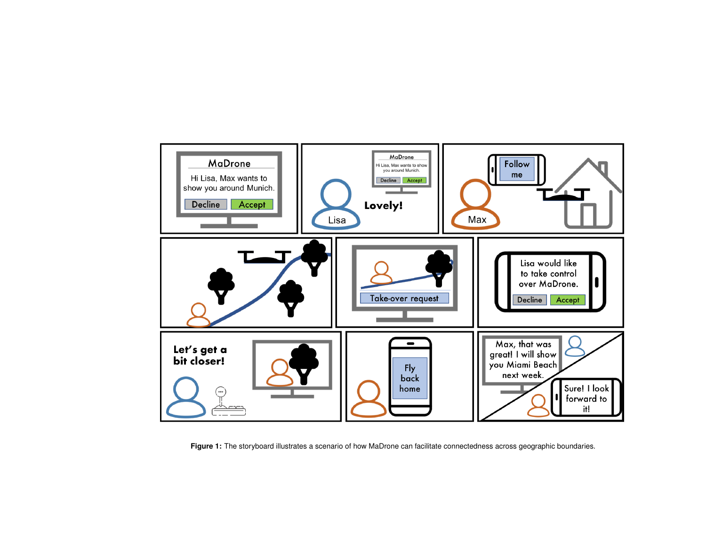<span id="page-3-0"></span>

**Figure 1:** The storyboard illustrates a scenario of how MaDrone can facilitate connectedness across geographic boundaries.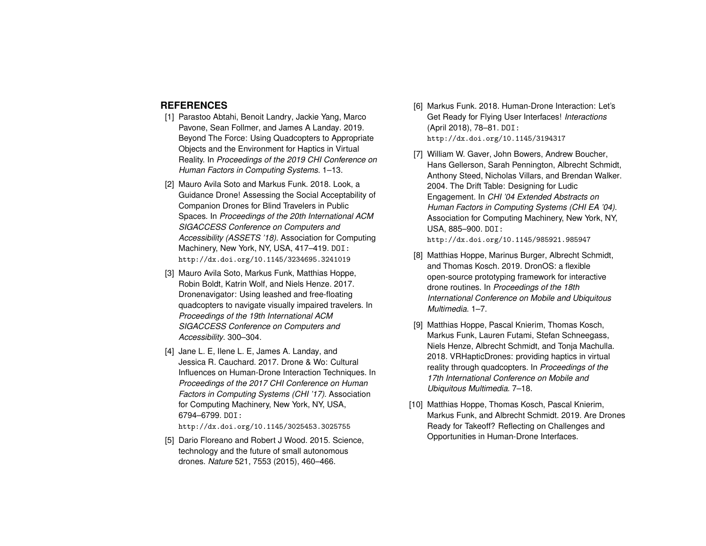## **REFERENCES**

- <span id="page-4-8"></span>[1] Parastoo Abtahi, Benoit Landry, Jackie Yang, Marco Pavone, Sean Follmer, and James A Landay. 2019. Beyond The Force: Using Quadcopters to Appropriate Objects and the Environment for Haptics in Virtual Reality. In *Proceedings of the 2019 CHI Conference on Human Factors in Computing Systems*. 1–13.
- <span id="page-4-2"></span>[2] Mauro Avila Soto and Markus Funk. 2018. Look, a Guidance Drone! Assessing the Social Acceptability of Companion Drones for Blind Travelers in Public Spaces. In *Proceedings of the 20th International ACM SIGACCESS Conference on Computers and Accessibility (ASSETS '18)*. Association for Computing Machinery, New York, NY, USA, 417–419. DOI: <http://dx.doi.org/10.1145/3234695.3241019>
- <span id="page-4-3"></span>[3] Mauro Avila Soto, Markus Funk, Matthias Hoppe, Robin Boldt, Katrin Wolf, and Niels Henze. 2017. Dronenavigator: Using leashed and free-floating quadcopters to navigate visually impaired travelers. In *Proceedings of the 19th International ACM SIGACCESS Conference on Computers and Accessibility*. 300–304.
- <span id="page-4-9"></span>[4] Jane L. E, Ilene L. E, James A. Landay, and Jessica R. Cauchard. 2017. Drone & Wo: Cultural Influences on Human-Drone Interaction Techniques. In *Proceedings of the 2017 CHI Conference on Human Factors in Computing Systems (CHI '17)*. Association for Computing Machinery, New York, NY, USA, 6794–6799. DOI: <http://dx.doi.org/10.1145/3025453.3025755>
- <span id="page-4-4"></span>[5] Dario Floreano and Robert J Wood. 2015. Science, technology and the future of small autonomous drones. *Nature* 521, 7553 (2015), 460–466.
- <span id="page-4-1"></span>[6] Markus Funk. 2018. Human-Drone Interaction: Let's Get Ready for Flying User Interfaces! *Interactions* (April 2018), 78–81. DOI: <http://dx.doi.org/10.1145/3194317>
- <span id="page-4-5"></span>[7] William W. Gaver, John Bowers, Andrew Boucher, Hans Gellerson, Sarah Pennington, Albrecht Schmidt, Anthony Steed, Nicholas Villars, and Brendan Walker. 2004. The Drift Table: Designing for Ludic Engagement. In *CHI '04 Extended Abstracts on Human Factors in Computing Systems (CHI EA '04)*. Association for Computing Machinery, New York, NY, USA, 885–900. DOI: <http://dx.doi.org/10.1145/985921.985947>
- <span id="page-4-0"></span>[8] Matthias Hoppe, Marinus Burger, Albrecht Schmidt, and Thomas Kosch. 2019. DronOS: a flexible open-source prototyping framework for interactive drone routines. In *Proceedings of the 18th International Conference on Mobile and Ubiquitous Multimedia*. 1–7.
- <span id="page-4-7"></span>[9] Matthias Hoppe, Pascal Knierim, Thomas Kosch, Markus Funk, Lauren Futami, Stefan Schneegass, Niels Henze, Albrecht Schmidt, and Tonja Machulla. 2018. VRHapticDrones: providing haptics in virtual reality through quadcopters. In *Proceedings of the 17th International Conference on Mobile and Ubiquitous Multimedia*. 7–18.
- <span id="page-4-6"></span>[10] Matthias Hoppe, Thomas Kosch, Pascal Knierim, Markus Funk, and Albrecht Schmidt. 2019. Are Drones Ready for Takeoff? Reflecting on Challenges and Opportunities in Human-Drone Interfaces.